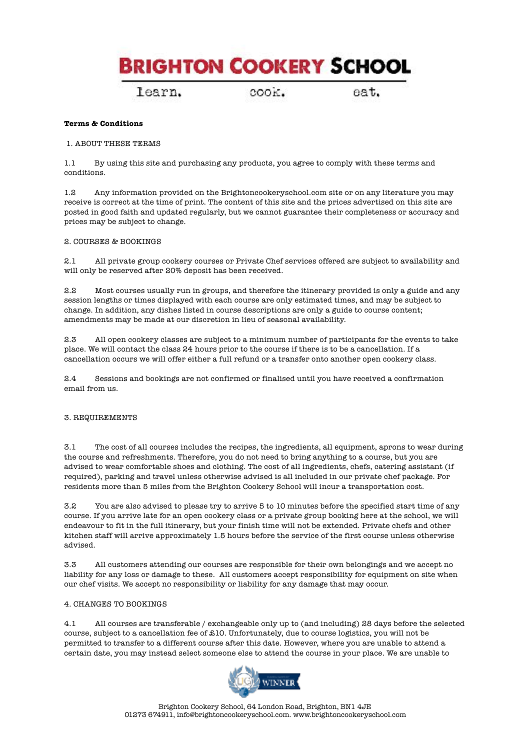learn.

cook.

eat.

# **Terms & Conditions**

## 1. ABOUT THESE TERMS

1.1 By using this site and purchasing any products, you agree to comply with these terms and conditions.

1.2 Any information provided on the Brightoncookeryschool.com site or on any literature you may receive is correct at the time of print. The content of this site and the prices advertised on this site are posted in good faith and updated regularly, but we cannot guarantee their completeness or accuracy and prices may be subject to change.

# 2. COURSES & BOOKINGS

2.1 All private group cookery courses or Private Chef services offered are subject to availability and will only be reserved after 20% deposit has been received.

2.2 Most courses usually run in groups, and therefore the itinerary provided is only a guide and any session lengths or times displayed with each course are only estimated times, and may be subject to change. In addition, any dishes listed in course descriptions are only a guide to course content; amendments may be made at our discretion in lieu of seasonal availability.

2.3 All open cookery classes are subject to a minimum number of participants for the events to take place. We will contact the class 24 hours prior to the course if there is to be a cancellation. If a cancellation occurs we will offer either a full refund or a transfer onto another open cookery class.

2.4 Sessions and bookings are not confirmed or finalised until you have received a confirmation email from us.

#### 3. REQUIREMENTS

3.1 The cost of all courses includes the recipes, the ingredients, all equipment, aprons to wear during the course and refreshments. Therefore, you do not need to bring anything to a course, but you are advised to wear comfortable shoes and clothing. The cost of all ingredients, chefs, catering assistant (if required), parking and travel unless otherwise advised is all included in our private chef package. For residents more than 5 miles from the Brighton Cookery School will incur a transportation cost.

3.2 You are also advised to please try to arrive 5 to 10 minutes before the specified start time of any course. If you arrive late for an open cookery class or a private group booking here at the school, we will endeavour to fit in the full itinerary, but your finish time will not be extended. Private chefs and other kitchen staff will arrive approximately 1.5 hours before the service of the first course unless otherwise advised.

3.3 All customers attending our courses are responsible for their own belongings and we accept no liability for any loss or damage to these. All customers accept responsibility for equipment on site when our chef visits. We accept no responsibility or liability for any damage that may occur.

## 4. CHANGES TO BOOKINGS

4.1 All courses are transferable / exchangeable only up to (and including) 28 days before the selected course, subject to a cancellation fee of £10. Unfortunately, due to course logistics, you will not be permitted to transfer to a different course after this date. However, where you are unable to attend a certain date, you may instead select someone else to attend the course in your place. We are unable to

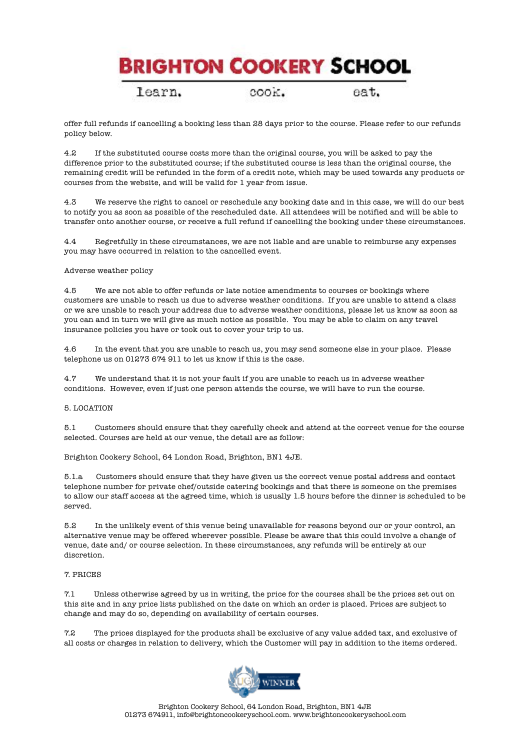learn.

COOK.

eat.

offer full refunds if cancelling a booking less than 28 days prior to the course. Please refer to our refunds policy below.

4.2 If the substituted course costs more than the original course, you will be asked to pay the difference prior to the substituted course; if the substituted course is less than the original course, the remaining credit will be refunded in the form of a credit note, which may be used towards any products or courses from the website, and will be valid for 1 year from issue.

4.3 We reserve the right to cancel or reschedule any booking date and in this case, we will do our best to notify you as soon as possible of the rescheduled date. All attendees will be notified and will be able to transfer onto another course, or receive a full refund if cancelling the booking under these circumstances.

4.4 Regretfully in these circumstances, we are not liable and are unable to reimburse any expenses you may have occurred in relation to the cancelled event.

## Adverse weather policy

4.5 We are not able to offer refunds or late notice amendments to courses or bookings where customers are unable to reach us due to adverse weather conditions. If you are unable to attend a class or we are unable to reach your address due to adverse weather conditions, please let us know as soon as you can and in turn we will give as much notice as possible. You may be able to claim on any travel insurance policies you have or took out to cover your trip to us.

4.6 In the event that you are unable to reach us, you may send someone else in your place. Please telephone us on 01273 674 911 to let us know if this is the case.

4.7 We understand that it is not your fault if you are unable to reach us in adverse weather conditions. However, even if just one person attends the course, we will have to run the course.

# 5. LOCATION

5.1 Customers should ensure that they carefully check and attend at the correct venue for the course selected. Courses are held at our venue, the detail are as follow:

Brighton Cookery School, 64 London Road, Brighton, BN1 4JE.

5.1.a Customers should ensure that they have given us the correct venue postal address and contact telephone number for private chef/outside catering bookings and that there is someone on the premises to allow our staff access at the agreed time, which is usually 1.5 hours before the dinner is scheduled to be served.

5.2 In the unlikely event of this venue being unavailable for reasons beyond our or your control, an alternative venue may be offered wherever possible. Please be aware that this could involve a change of venue, date and/ or course selection. In these circumstances, any refunds will be entirely at our discretion.

#### 7. PRICES

7.1 Unless otherwise agreed by us in writing, the price for the courses shall be the prices set out on this site and in any price lists published on the date on which an order is placed. Prices are subject to change and may do so, depending on availability of certain courses.

7.2 The prices displayed for the products shall be exclusive of any value added tax, and exclusive of all costs or charges in relation to delivery, which the Customer will pay in addition to the items ordered.

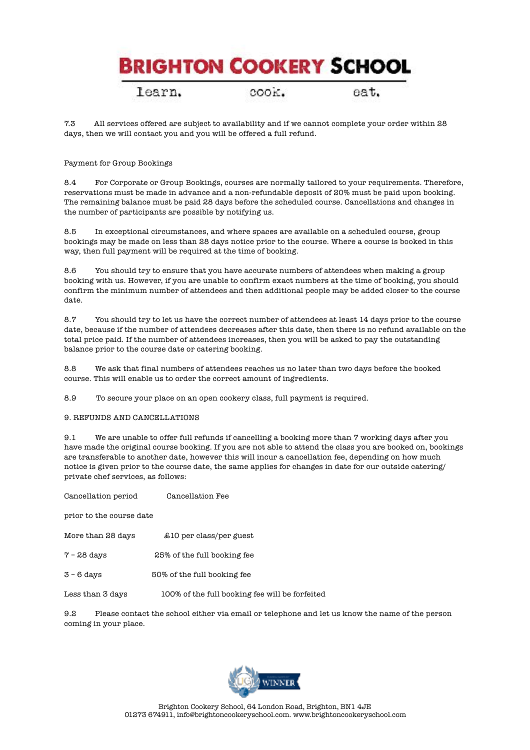learn.

COOK.

eat.

7.3 All services offered are subject to availability and if we cannot complete your order within 28 days, then we will contact you and you will be offered a full refund.

# Payment for Group Bookings

8.4 For Corporate or Group Bookings, courses are normally tailored to your requirements. Therefore, reservations must be made in advance and a non-refundable deposit of 20% must be paid upon booking. The remaining balance must be paid 28 days before the scheduled course. Cancellations and changes in the number of participants are possible by notifying us.

8.5 In exceptional circumstances, and where spaces are available on a scheduled course, group bookings may be made on less than 28 days notice prior to the course. Where a course is booked in this way, then full payment will be required at the time of booking.

8.6 You should try to ensure that you have accurate numbers of attendees when making a group booking with us. However, if you are unable to confirm exact numbers at the time of booking, you should confirm the minimum number of attendees and then additional people may be added closer to the course date.

8.7 You should try to let us have the correct number of attendees at least 14 days prior to the course date, because if the number of attendees decreases after this date, then there is no refund available on the total price paid. If the number of attendees increases, then you will be asked to pay the outstanding balance prior to the course date or catering booking.

8.8 We ask that final numbers of attendees reaches us no later than two days before the booked course. This will enable us to order the correct amount of ingredients.

8.9 To secure your place on an open cookery class, full payment is required.

# 9. REFUNDS AND CANCELLATIONS

9.1 We are unable to offer full refunds if cancelling a booking more than 7 working days after you have made the original course booking. If you are not able to attend the class you are booked on, bookings are transferable to another date, however this will incur a cancellation fee, depending on how much notice is given prior to the course date, the same applies for changes in date for our outside catering/ private chef services, as follows:

Cancellation period Cancellation Fee

prior to the course date

- More than 28 days  $$10$  per class/per guest
- 7 28 days 25% of the full booking fee
- 3 6 days 50% of the full booking fee

Less than 3 days 100% of the full booking fee will be forfeited

9.2 Please contact the school either via email or telephone and let us know the name of the person coming in your place.

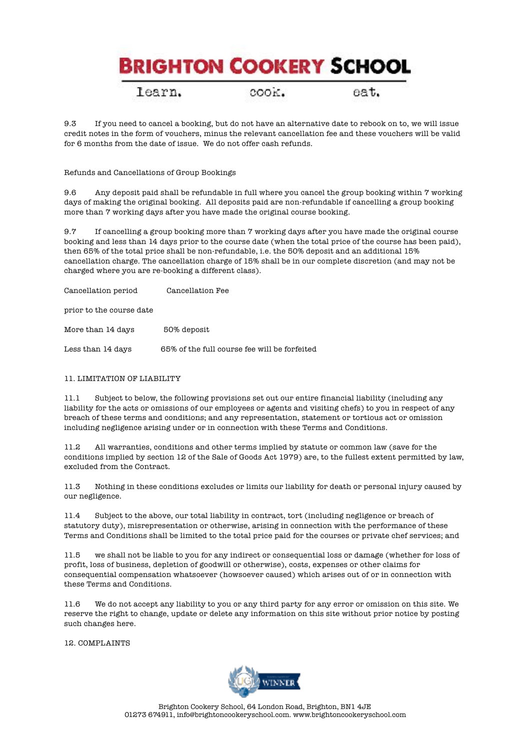learn.

COOK.

eat.

9.3 If you need to cancel a booking, but do not have an alternative date to rebook on to, we will issue credit notes in the form of vouchers, minus the relevant cancellation fee and these vouchers will be valid for 6 months from the date of issue. We do not offer cash refunds.

# Refunds and Cancellations of Group Bookings

9.6 Any deposit paid shall be refundable in full where you cancel the group booking within 7 working days of making the original booking. All deposits paid are non-refundable if cancelling a group booking more than 7 working days after you have made the original course booking.

9.7 If cancelling a group booking more than 7 working days after you have made the original course booking and less than 14 days prior to the course date (when the total price of the course has been paid), then 65% of the total price shall be non-refundable, i.e. the 50% deposit and an additional 15% cancellation charge. The cancellation charge of 15% shall be in our complete discretion (and may not be charged where you are re-booking a different class).

Cancellation period Cancellation Fee

prior to the course date

More than 14 days 50% deposit

Less than 14 days 65% of the full course fee will be forfeited

# 11. LIMITATION OF LIABILITY

11.1 Subject to below, the following provisions set out our entire financial liability (including any liability for the acts or omissions of our employees or agents and visiting chefs) to you in respect of any breach of these terms and conditions; and any representation, statement or tortious act or omission including negligence arising under or in connection with these Terms and Conditions.

11.2 All warranties, conditions and other terms implied by statute or common law (save for the conditions implied by section 12 of the Sale of Goods Act 1979) are, to the fullest extent permitted by law, excluded from the Contract.

11.3 Nothing in these conditions excludes or limits our liability for death or personal injury caused by our negligence.

11.4 Subject to the above, our total liability in contract, tort (including negligence or breach of statutory duty), misrepresentation or otherwise, arising in connection with the performance of these Terms and Conditions shall be limited to the total price paid for the courses or private chef services; and

11.5 we shall not be liable to you for any indirect or consequential loss or damage (whether for loss of profit, loss of business, depletion of goodwill or otherwise), costs, expenses or other claims for consequential compensation whatsoever (howsoever caused) which arises out of or in connection with these Terms and Conditions.

11.6 We do not accept any liability to you or any third party for any error or omission on this site. We reserve the right to change, update or delete any information on this site without prior notice by posting such changes here.

12. COMPLAINTS

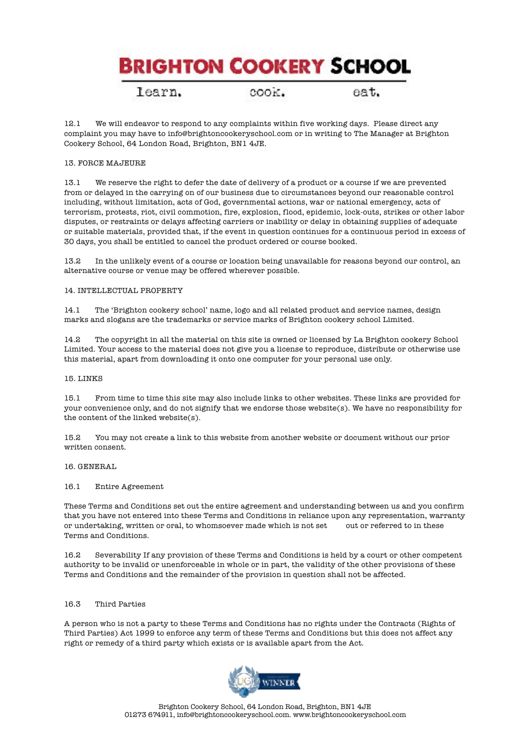learn.

cook.

eat.

12.1 We will endeavor to respond to any complaints within five working days. Please direct any complaint you may have to info@brightoncookeryschool.com or in writing to The Manager at Brighton Cookery School, 64 London Road, Brighton, BN1 4JE.

# 13. FORCE MAJEURE

13.1 We reserve the right to defer the date of delivery of a product or a course if we are prevented from or delayed in the carrying on of our business due to circumstances beyond our reasonable control including, without limitation, acts of God, governmental actions, war or national emergency, acts of terrorism, protests, riot, civil commotion, fire, explosion, flood, epidemic, lock-outs, strikes or other labor disputes, or restraints or delays affecting carriers or inability or delay in obtaining supplies of adequate or suitable materials, provided that, if the event in question continues for a continuous period in excess of 30 days, you shall be entitled to cancel the product ordered or course booked.

13.2 In the unlikely event of a course or location being unavailable for reasons beyond our control, an alternative course or venue may be offered wherever possible.

## 14. INTELLECTUAL PROPERTY

14.1 The 'Brighton cookery school' name, logo and all related product and service names, design marks and slogans are the trademarks or service marks of Brighton cookery school Limited.

14.2 The copyright in all the material on this site is owned or licensed by La Brighton cookery School Limited. Your access to the material does not give you a license to reproduce, distribute or otherwise use this material, apart from downloading it onto one computer for your personal use only.

#### 15. LINKS

15.1 From time to time this site may also include links to other websites. These links are provided for your convenience only, and do not signify that we endorse those website(s). We have no responsibility for the content of the linked website(s).

15.2 You may not create a link to this website from another website or document without our prior written consent.

#### 16. GENERAL

#### 16.1 Entire Agreement

These Terms and Conditions set out the entire agreement and understanding between us and you confirm that you have not entered into these Terms and Conditions in reliance upon any representation, warranty or undertaking, written or oral, to whomsoever made which is not set out or referred to in these Terms and Conditions.

16.2 Severability If any provision of these Terms and Conditions is held by a court or other competent authority to be invalid or unenforceable in whole or in part, the validity of the other provisions of these Terms and Conditions and the remainder of the provision in question shall not be affected.

# 16.3 Third Parties

A person who is not a party to these Terms and Conditions has no rights under the Contracts (Rights of Third Parties) Act 1999 to enforce any term of these Terms and Conditions but this does not affect any right or remedy of a third party which exists or is available apart from the Act.